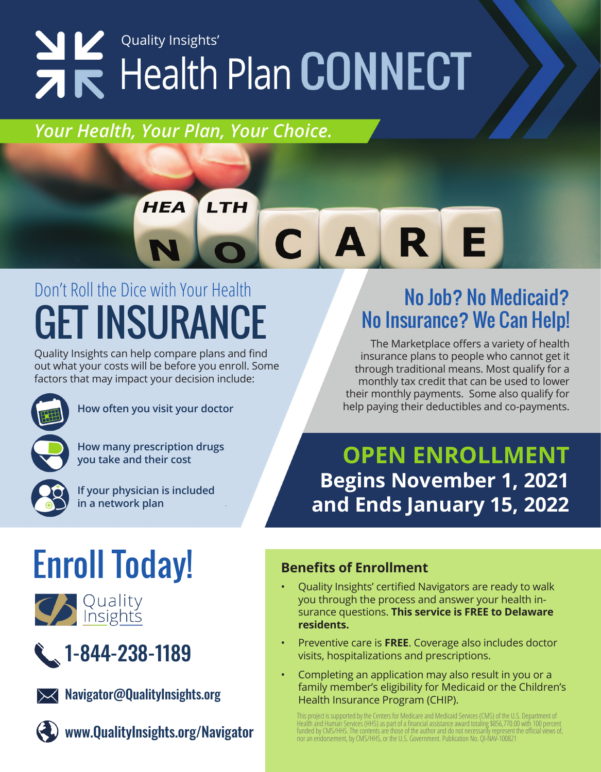# **NK** Quality Insights'

#### Your Health, Your Plan, Your Choice.

**HEA** 

#### LTH R 5  $\boldsymbol{\Delta}$ C

## Don't Roll the Dice with Your Health DON'T ROIL THE DICE WITH YOUR HEAlth No Search Street Mo Job? No Medicaid?<br>CET INSURANCE No Insurance? We Can Help!

Quality Insights can help compare plans and find out what your costs will be before you enroll. Some factors that may impact your decision include:



**How often you visit your doctor**



**How many prescription drugs you take and their cost**



**If your physician is included in a network plan**

# No Insurance? We Can Help!

The Marketplace offers a variety of health insurance plans to people who cannot get it through traditional means. Most qualify for a monthly tax credit that can be used to lower their monthly payments. Some also qualify for help paying their deductibles and co-payments.

#### **OPEN ENROLLMENT Begins November 1, 2021 and Ends January 15, 2022**

## Enroll Today!







**XX** Navigator@QualityInsights.org



www.QualityInsights.org/Navigator

#### **Benefits of Enrollment**

- Quality Insights' certified Navigators are ready to walk you through the process and answer your health insurance questions. **This service is FREE to Delaware residents.**
- Preventive care is **FREE**. Coverage also includes doctor visits, hospitalizations and prescriptions.
- Completing an application may also result in you or a family member's eligibility for Medicaid or the Children's Health Insurance Program (CHIP).

This project is supported by the Centers for Medicare and Medicaid Services (CMS) of the U.S. Department of Health and Human Services (HHS) as part of a financial assistance award totaling \$856,770.00 with 100 percent funded by CMS/HHS. The contents are those of the author and do not necessarily represent the official views of, nor an endorsement, by CMS/HHS, or the U.S. Government. Publication No. QI-NAV-100821